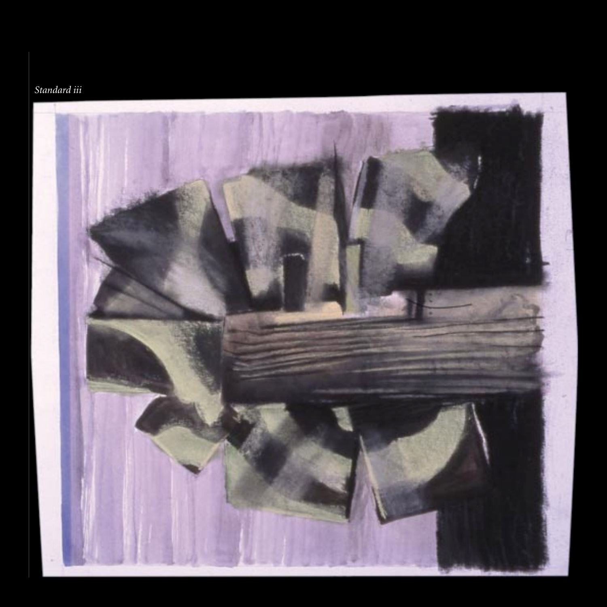## *Standard iii*

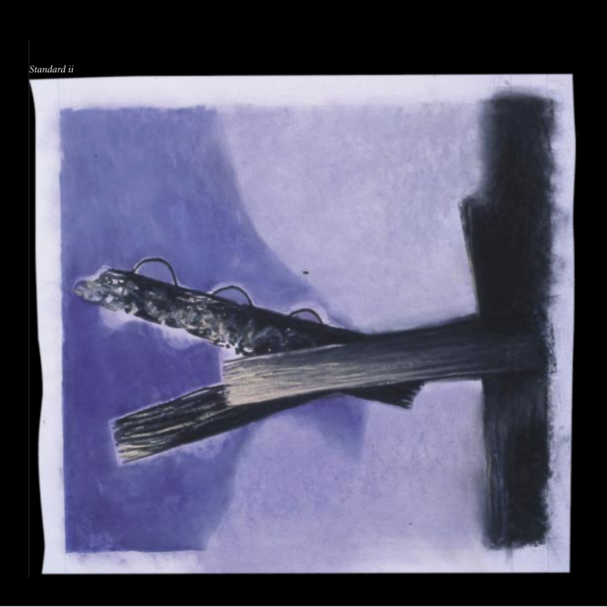## *Standard ii*

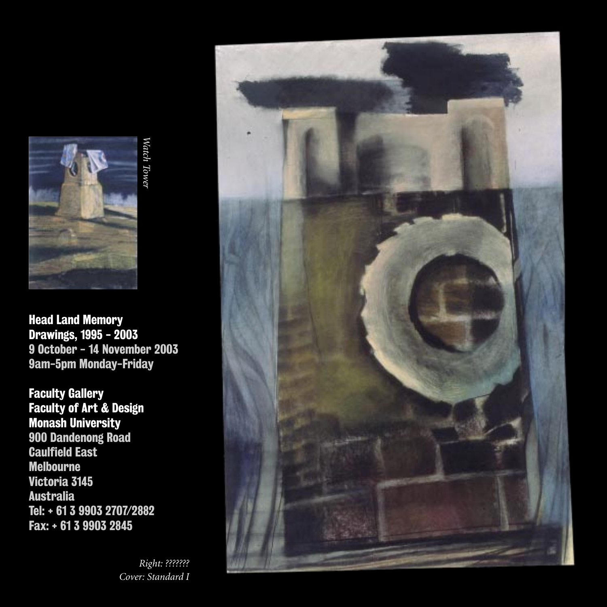

Head Land Memory Drawings, 1995 - 2003 9 October - 14 November 2003 9am-5pm Monday-Friday

*Watch Tower*

Watch Tower

Faculty Gallery Faculty of Art & Design Monash University 900 Dandenong Road Caulfield East Melbourne Victoria 3145 Australia Tel: + 61 3 9903 2707/2882 Fax: + 61 3 9903 2845

> *Right: ??????? Cover: Standard I*

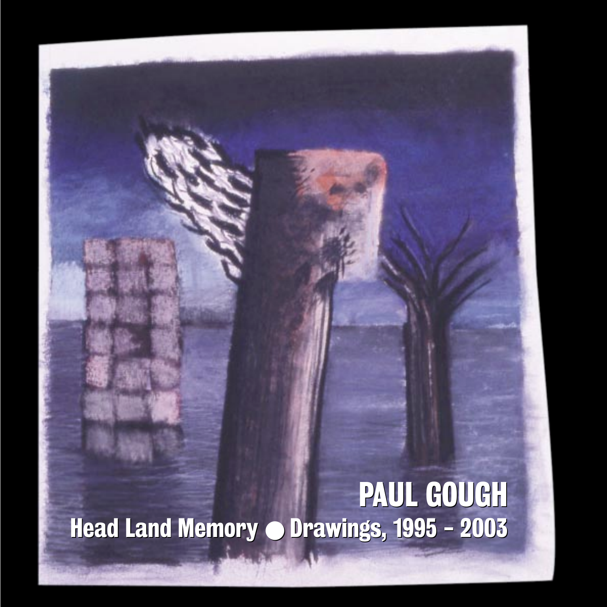PAUL GOUGH PAUL GOUGHHead Land Memory  $\bullet$  Drawings, 1995 - 2003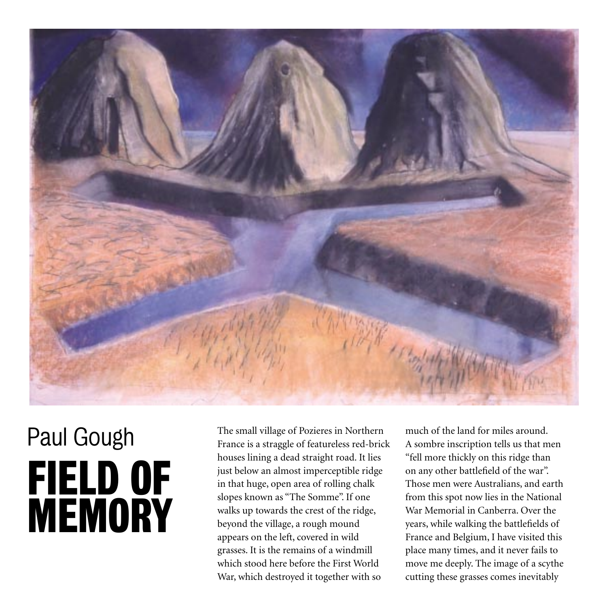

## Paul Gough FIELD OF **MEMORY**

The small village of Pozieres in Northern France is a straggle of featureless red-brick houses lining a dead straight road. It lies just below an almost imperceptible ridge in that huge, open area of rolling chalk slopes known as "The Somme". If one walks up towards the crest of the ridge, beyond the village, a rough mound appears on the left, covered in wild grasses. It is the remains of a windmill which stood here before the First World War, which destroyed it together with so

much of the land for miles around. A sombre inscription tells us that men "fell more thickly on this ridge than on any other battlefield of the war". Those men were Australians, and earth from this spot now lies in the National War Memorial in Canberra. Over the years, while walking the battlefields of France and Belgium, I have visited this place many times, and it never fails to move me deeply. The image of a scythe cutting these grasses comes inevitably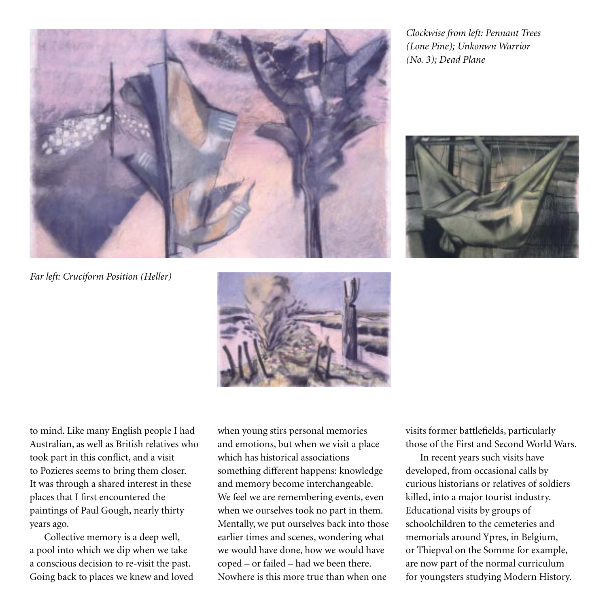*Clockwise from left: Pennant Trees (Lone Pine); Unkonwn Warrior (No. 3); Dead Plane*



*Far left: Cruciform Position (Heller)*



to mind. Like many English people I had Australian, as well as British relatives who took part in this conflict, and a visit to Pozieres seems to bring them closer. It was through a shared interest in these places that I first encountered the paintings of Paul Gough, nearly thirty years ago.

Collective memory is a deep well, a pool into which we dip when we take a conscious decision to re-visit the past. Going back to places we knew and loved when young stirs personal memories and emotions, but when we visit a place which has historical associations something different happens: knowledge and memory become interchangeable. We feel we are remembering events, even when we ourselves took no part in them. Mentally, we put ourselves back into those earlier times and scenes, wondering what we would have done, how we would have coped – or failed – had we been there. Nowhere is this more true than when one

visits former battlefields, particularly those of the First and Second World Wars.

In recent years such visits have developed, from occasional calls by curious historians or relatives of soldiers killed, into a major tourist industry. Educational visits by groups of schoolchildren to the cemeteries and memorials around Ypres, in Belgium, or Thiepval on the Somme for example, are now part of the normal curriculum for youngsters studying Modern History.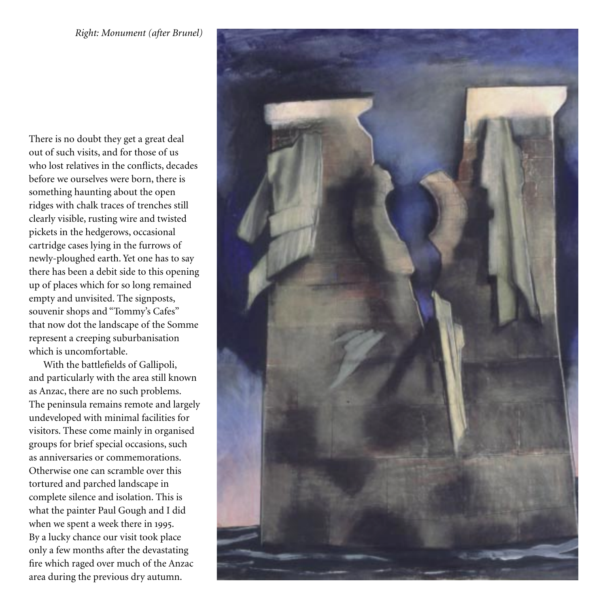There is no doubt they get a great deal out of such visits, and for those of us who lost relatives in the conflicts, decades before we ourselves were born, there is something haunting about the open ridges with chalk traces of trenches still clearly visible, rusting wire and twisted pickets in the hedgerows, occasional cartridge cases lying in the furrows of newly-ploughed earth. Yet one has to say there has been a debit side to this opening up of places which for so long remained empty and unvisited. The signposts, souvenir shops and "Tommy's Cafes" that now dot the landscape of the Somme represent a creeping suburbanisation which is uncomfortable.

With the battlefields of Gallipoli, and particularly with the area still known as Anzac, there are no such problems. The peninsula remains remote and largely undeveloped with minimal facilities for visitors. These come mainly in organised groups for brief special occasions, such as anniversaries or commemorations. Otherwise one can scramble over this tortured and parched landscape in complete silence and isolation. This is what the painter Paul Gough and I did when we spent a week there in 1995. By a lucky chance our visit took place only a few months after the devastating fire which raged over much of the Anzac area during the previous dry autumn.